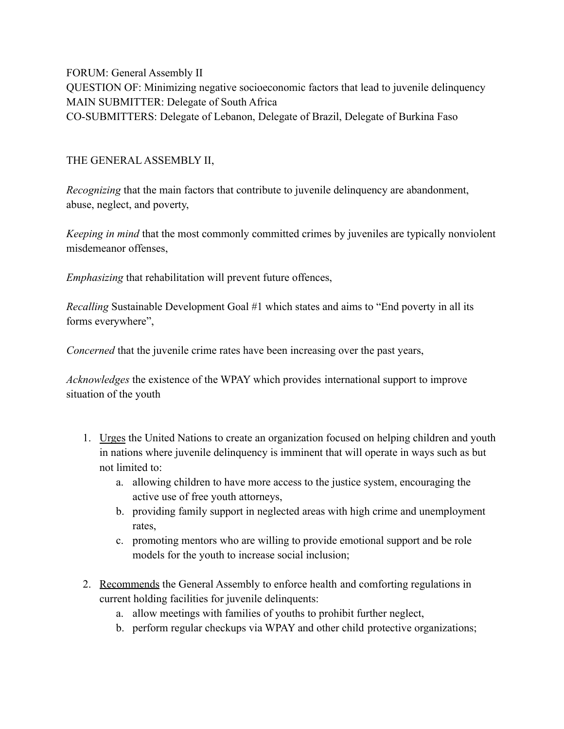FORUM: General Assembly II QUESTION OF: Minimizing negative socioeconomic factors that lead to juvenile delinquency MAIN SUBMITTER: Delegate of South Africa CO-SUBMITTERS: Delegate of Lebanon, Delegate of Brazil, Delegate of Burkina Faso

## THE GENERAL ASSEMBLY II,

*Recognizing* that the main factors that contribute to juvenile delinquency are abandonment, abuse, neglect, and poverty,

*Keeping in mind* that the most commonly committed crimes by juveniles are typically nonviolent misdemeanor offenses,

*Emphasizing* that rehabilitation will prevent future offences,

*Recalling* Sustainable Development Goal #1 which states and aims to "End poverty in all its forms everywhere",

*Concerned* that the juvenile crime rates have been increasing over the past years,

*Acknowledges* the existence of the WPAY which provides international support to improve situation of the youth

- 1. Urges the United Nations to create an organization focused on helping children and youth in nations where juvenile delinquency is imminent that will operate in ways such as but not limited to:
	- a. allowing children to have more access to the justice system, encouraging the active use of free youth attorneys,
	- b. providing family support in neglected areas with high crime and unemployment rates,
	- c. promoting mentors who are willing to provide emotional support and be role models for the youth to increase social inclusion;
- 2. Recommends the General Assembly to enforce health and comforting regulations in current holding facilities for juvenile delinquents:
	- a. allow meetings with families of youths to prohibit further neglect,
	- b. perform regular checkups via WPAY and other child protective organizations;